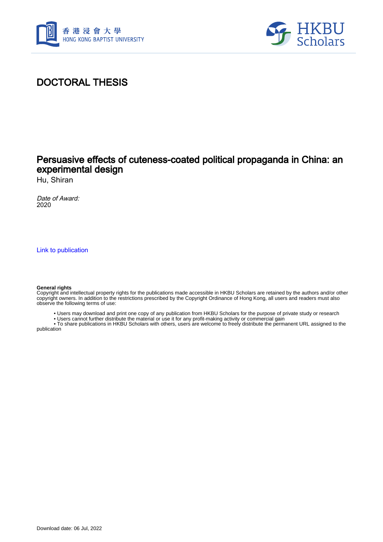



# DOCTORAL THESIS

## Persuasive effects of cuteness-coated political propaganda in China: an experimental design

Hu, Shiran

Date of Award: 2020

[Link to publication](https://scholars.hkbu.edu.hk/en/studentTheses/af9128a7-8a06-40ff-bd62-e32fe22da5e0)

#### **General rights**

Copyright and intellectual property rights for the publications made accessible in HKBU Scholars are retained by the authors and/or other copyright owners. In addition to the restrictions prescribed by the Copyright Ordinance of Hong Kong, all users and readers must also observe the following terms of use:

- Users may download and print one copy of any publication from HKBU Scholars for the purpose of private study or research
- Users cannot further distribute the material or use it for any profit-making activity or commercial gain

 • To share publications in HKBU Scholars with others, users are welcome to freely distribute the permanent URL assigned to the publication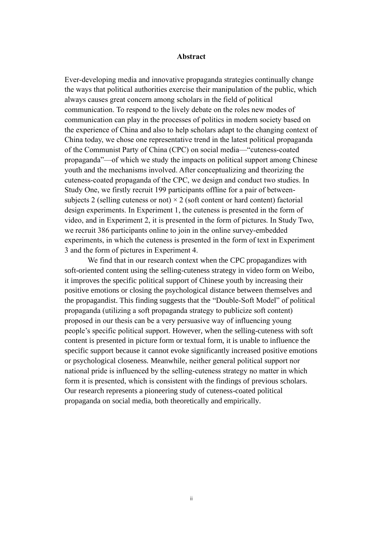### **Abstract**

Ever-developing media and innovative propaganda strategies continually change the ways that political authorities exercise their manipulation of the public, which always causes great concern among scholars in the field of political communication. To respond to the lively debate on the roles new modes of communication can play in the processes of politics in modern society based on the experience of China and also to help scholars adapt to the changing context of China today, we chose one representative trend in the latest political propaganda of the Communist Party of China (CPC) on social media—"cuteness-coated propaganda"—of which we study the impacts on political support among Chinese youth and the mechanisms involved. After conceptualizing and theorizing the cuteness-coated propaganda of the CPC, we design and conduct two studies. In Study One, we firstly recruit 199 participants offline for a pair of betweensubjects 2 (selling cuteness or not)  $\times$  2 (soft content or hard content) factorial design experiments. In Experiment 1, the cuteness is presented in the form of video, and in Experiment 2, it is presented in the form of pictures. In Study Two, we recruit 386 participants online to join in the online survey-embedded experiments, in which the cuteness is presented in the form of text in Experiment 3 and the form of pictures in Experiment 4.

We find that in our research context when the CPC propagandizes with soft-oriented content using the selling-cuteness strategy in video form on Weibo, it improves the specific political support of Chinese youth by increasing their positive emotions or closing the psychological distance between themselves and the [propagandist.](javascript:;) This finding suggests that the "Double-Soft Model" of political propaganda (utilizing a soft propaganda strategy to publicize soft content) proposed in our thesis can be a very persuasive way of influencing young people's specific political support. However, when the selling-cuteness with soft content is presented in picture form or textual form, it is unable to influence the specific support because it cannot evoke significantly increased positive emotions or psychological closeness. Meanwhile, neither general political support nor national pride is influenced by the selling-cuteness strategy no matter in which form it is presented, which is consistent with the findings of previous scholars. Our research represents a pioneering study of cuteness-coated political propaganda on social media, both theoretically and empirically.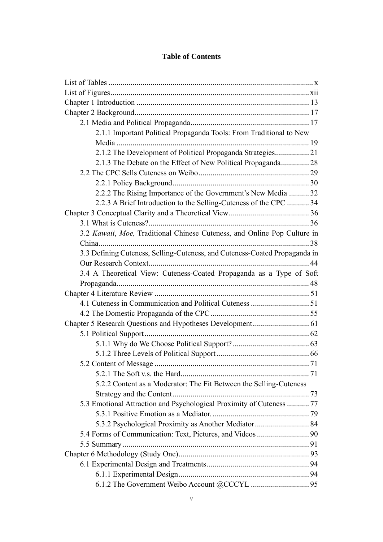### **Table of Contents**

| 2.1.1 Important Political Propaganda Tools: From Traditional to New        |  |
|----------------------------------------------------------------------------|--|
|                                                                            |  |
| 2.1.2 The Development of Political Propaganda Strategies21                 |  |
| 2.1.3 The Debate on the Effect of New Political Propaganda 28              |  |
|                                                                            |  |
|                                                                            |  |
| 2.2.2 The Rising Importance of the Government's New Media 32               |  |
| 2.2.3 A Brief Introduction to the Selling-Cuteness of the CPC  34          |  |
|                                                                            |  |
|                                                                            |  |
| 3.2 Kawaii, Moe, Traditional Chinese Cuteness, and Online Pop Culture in   |  |
|                                                                            |  |
| 3.3 Defining Cuteness, Selling-Cuteness, and Cuteness-Coated Propaganda in |  |
|                                                                            |  |
| 3.4 A Theoretical View: Cuteness-Coated Propaganda as a Type of Soft       |  |
|                                                                            |  |
|                                                                            |  |
|                                                                            |  |
|                                                                            |  |
|                                                                            |  |
|                                                                            |  |
|                                                                            |  |
|                                                                            |  |
|                                                                            |  |
|                                                                            |  |
| 5.2.2 Content as a Moderator: The Fit Between the Selling-Cuteness         |  |
|                                                                            |  |
| 5.3 Emotional Attraction and Psychological Proximity of Cuteness  77       |  |
|                                                                            |  |
| 5.3.2 Psychological Proximity as Another Mediator  84                      |  |
|                                                                            |  |
| 5.4 Forms of Communication: Text, Pictures, and Videos  90                 |  |
|                                                                            |  |
|                                                                            |  |
|                                                                            |  |
|                                                                            |  |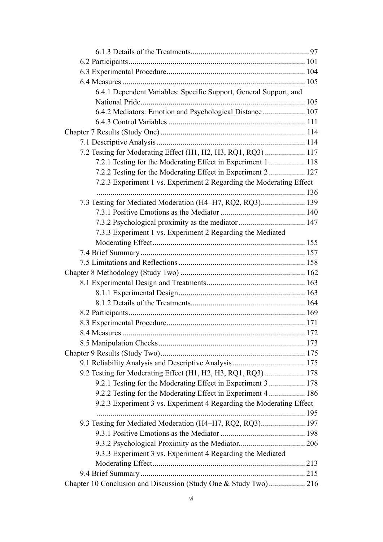| 6.4.1 Dependent Variables: Specific Support, General Support, and   |  |
|---------------------------------------------------------------------|--|
|                                                                     |  |
| 6.4.2 Mediators: Emotion and Psychological Distance  107            |  |
|                                                                     |  |
|                                                                     |  |
|                                                                     |  |
| 7.2 Testing for Moderating Effect (H1, H2, H3, RQ1, RQ3)  117       |  |
| 7.2.1 Testing for the Moderating Effect in Experiment 1  118        |  |
| 7.2.2 Testing for the Moderating Effect in Experiment 2  127        |  |
| 7.2.3 Experiment 1 vs. Experiment 2 Regarding the Moderating Effect |  |
|                                                                     |  |
| 7.3 Testing for Mediated Moderation (H4-H7, RQ2, RQ3) 139           |  |
|                                                                     |  |
| 7.3.2 Psychological proximity as the mediator  147                  |  |
| 7.3.3 Experiment 1 vs. Experiment 2 Regarding the Mediated          |  |
|                                                                     |  |
|                                                                     |  |
|                                                                     |  |
|                                                                     |  |
|                                                                     |  |
|                                                                     |  |
|                                                                     |  |
|                                                                     |  |
|                                                                     |  |
|                                                                     |  |
|                                                                     |  |
|                                                                     |  |
|                                                                     |  |
| 9.2 Testing for Moderating Effect (H1, H2, H3, RQ1, RQ3)  178       |  |
| 9.2.1 Testing for the Moderating Effect in Experiment 3  178        |  |
| 9.2.2 Testing for the Moderating Effect in Experiment 4 186         |  |
| 9.2.3 Experiment 3 vs. Experiment 4 Regarding the Moderating Effect |  |
|                                                                     |  |
| 9.3 Testing for Mediated Moderation (H4-H7, RQ2, RQ3) 197           |  |
|                                                                     |  |
|                                                                     |  |
| 9.3.3 Experiment 3 vs. Experiment 4 Regarding the Mediated          |  |
|                                                                     |  |
|                                                                     |  |
| Chapter 10 Conclusion and Discussion (Study One & Study Two) 216    |  |